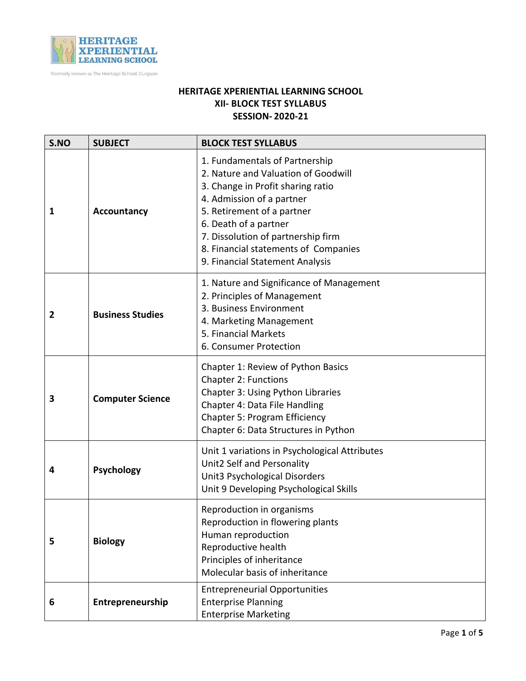

Formerly known as The Heritage School, Gurgaon

## **HERITAGE XPERIENTIAL LEARNING SCHOOL XII- BLOCK TEST SYLLABUS SESSION- 2020-21**

| S.NO | <b>SUBJECT</b>          | <b>BLOCK TEST SYLLABUS</b>                                                                                                                                                                                                                                                                                      |
|------|-------------------------|-----------------------------------------------------------------------------------------------------------------------------------------------------------------------------------------------------------------------------------------------------------------------------------------------------------------|
| 1    | <b>Accountancy</b>      | 1. Fundamentals of Partnership<br>2. Nature and Valuation of Goodwill<br>3. Change in Profit sharing ratio<br>4. Admission of a partner<br>5. Retirement of a partner<br>6. Death of a partner<br>7. Dissolution of partnership firm<br>8. Financial statements of Companies<br>9. Financial Statement Analysis |
| 2    | <b>Business Studies</b> | 1. Nature and Significance of Management<br>2. Principles of Management<br>3. Business Environment<br>4. Marketing Management<br>5. Financial Markets<br>6. Consumer Protection                                                                                                                                 |
| 3    | <b>Computer Science</b> | Chapter 1: Review of Python Basics<br><b>Chapter 2: Functions</b><br>Chapter 3: Using Python Libraries<br>Chapter 4: Data File Handling<br><b>Chapter 5: Program Efficiency</b><br>Chapter 6: Data Structures in Python                                                                                         |
| 4    | <b>Psychology</b>       | Unit 1 variations in Psychological Attributes<br>Unit2 Self and Personality<br>Unit3 Psychological Disorders<br>Unit 9 Developing Psychological Skills                                                                                                                                                          |
| 5    | <b>Biology</b>          | Reproduction in organisms<br>Reproduction in flowering plants<br>Human reproduction<br>Reproductive health<br>Principles of inheritance<br>Molecular basis of inheritance                                                                                                                                       |
| 6    | Entrepreneurship        | <b>Entrepreneurial Opportunities</b><br><b>Enterprise Planning</b><br><b>Enterprise Marketing</b>                                                                                                                                                                                                               |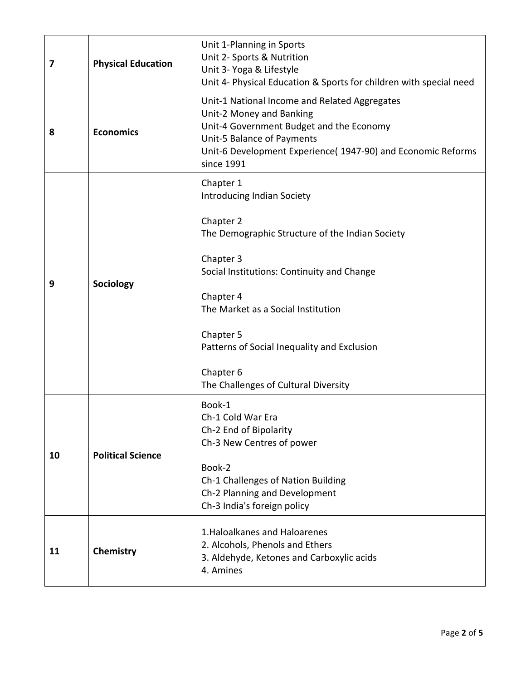| 7  | <b>Physical Education</b> | Unit 1-Planning in Sports<br>Unit 2- Sports & Nutrition<br>Unit 3- Yoga & Lifestyle<br>Unit 4- Physical Education & Sports for children with special need                                                                                                                                                                                     |
|----|---------------------------|-----------------------------------------------------------------------------------------------------------------------------------------------------------------------------------------------------------------------------------------------------------------------------------------------------------------------------------------------|
| 8  | <b>Economics</b>          | Unit-1 National Income and Related Aggregates<br>Unit-2 Money and Banking<br>Unit-4 Government Budget and the Economy<br>Unit-5 Balance of Payments<br>Unit-6 Development Experience( 1947-90) and Economic Reforms<br>since 1991                                                                                                             |
| 9  | Sociology                 | Chapter 1<br><b>Introducing Indian Society</b><br>Chapter 2<br>The Demographic Structure of the Indian Society<br>Chapter 3<br>Social Institutions: Continuity and Change<br>Chapter 4<br>The Market as a Social Institution<br>Chapter 5<br>Patterns of Social Inequality and Exclusion<br>Chapter 6<br>The Challenges of Cultural Diversity |
| 10 | <b>Political Science</b>  | Book-1<br>Ch-1 Cold War Era<br>Ch-2 End of Bipolarity<br>Ch-3 New Centres of power<br>Book-2<br>Ch-1 Challenges of Nation Building<br>Ch-2 Planning and Development<br>Ch-3 India's foreign policy                                                                                                                                            |
| 11 | Chemistry                 | 1. Haloalkanes and Haloarenes<br>2. Alcohols, Phenols and Ethers<br>3. Aldehyde, Ketones and Carboxylic acids<br>4. Amines                                                                                                                                                                                                                    |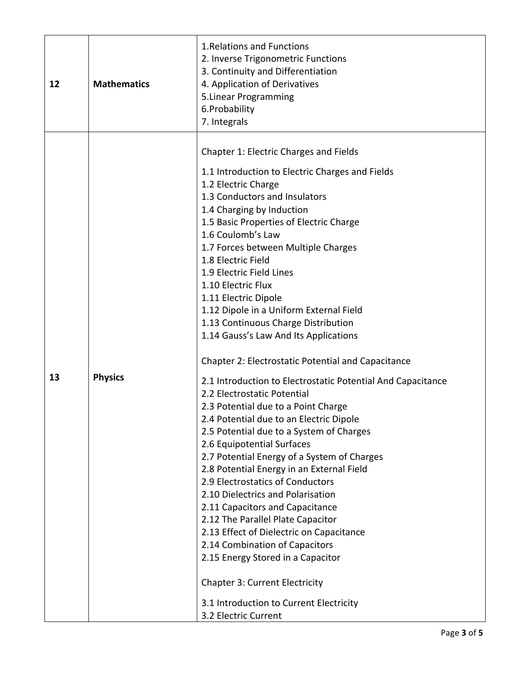| 12 | <b>Mathematics</b> | 1. Relations and Functions<br>2. Inverse Trigonometric Functions<br>3. Continuity and Differentiation<br>4. Application of Derivatives<br>5. Linear Programming<br>6.Probability<br>7. Integrals                                                                                                                                                                                                                                                                                                                                                                                                                                                                                                                                                                                                                                                                                                                                                                                                                                                                                                                                                                                                                                                                                                                    |
|----|--------------------|---------------------------------------------------------------------------------------------------------------------------------------------------------------------------------------------------------------------------------------------------------------------------------------------------------------------------------------------------------------------------------------------------------------------------------------------------------------------------------------------------------------------------------------------------------------------------------------------------------------------------------------------------------------------------------------------------------------------------------------------------------------------------------------------------------------------------------------------------------------------------------------------------------------------------------------------------------------------------------------------------------------------------------------------------------------------------------------------------------------------------------------------------------------------------------------------------------------------------------------------------------------------------------------------------------------------|
| 13 | <b>Physics</b>     | Chapter 1: Electric Charges and Fields<br>1.1 Introduction to Electric Charges and Fields<br>1.2 Electric Charge<br>1.3 Conductors and Insulators<br>1.4 Charging by Induction<br>1.5 Basic Properties of Electric Charge<br>1.6 Coulomb's Law<br>1.7 Forces between Multiple Charges<br>1.8 Electric Field<br>1.9 Electric Field Lines<br>1.10 Electric Flux<br>1.11 Electric Dipole<br>1.12 Dipole in a Uniform External Field<br>1.13 Continuous Charge Distribution<br>1.14 Gauss's Law And Its Applications<br><b>Chapter 2: Electrostatic Potential and Capacitance</b><br>2.1 Introduction to Electrostatic Potential And Capacitance<br>2.2 Electrostatic Potential<br>2.3 Potential due to a Point Charge<br>2.4 Potential due to an Electric Dipole<br>2.5 Potential due to a System of Charges<br>2.6 Equipotential Surfaces<br>2.7 Potential Energy of a System of Charges<br>2.8 Potential Energy in an External Field<br>2.9 Electrostatics of Conductors<br>2.10 Dielectrics and Polarisation<br>2.11 Capacitors and Capacitance<br>2.12 The Parallel Plate Capacitor<br>2.13 Effect of Dielectric on Capacitance<br>2.14 Combination of Capacitors<br>2.15 Energy Stored in a Capacitor<br><b>Chapter 3: Current Electricity</b><br>3.1 Introduction to Current Electricity<br>3.2 Electric Current |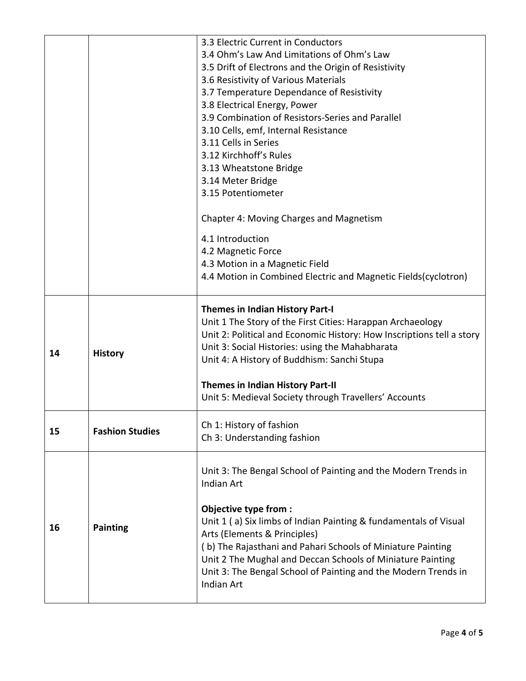|    |                        | 3.3 Electric Current in Conductors                                                                                                                                                                                                                                                                                                                                                  |
|----|------------------------|-------------------------------------------------------------------------------------------------------------------------------------------------------------------------------------------------------------------------------------------------------------------------------------------------------------------------------------------------------------------------------------|
|    |                        | 3.4 Ohm's Law And Limitations of Ohm's Law                                                                                                                                                                                                                                                                                                                                          |
|    |                        | 3.5 Drift of Electrons and the Origin of Resistivity                                                                                                                                                                                                                                                                                                                                |
|    |                        | 3.6 Resistivity of Various Materials                                                                                                                                                                                                                                                                                                                                                |
|    |                        | 3.7 Temperature Dependance of Resistivity                                                                                                                                                                                                                                                                                                                                           |
|    |                        | 3.8 Electrical Energy, Power                                                                                                                                                                                                                                                                                                                                                        |
|    |                        | 3.9 Combination of Resistors-Series and Parallel                                                                                                                                                                                                                                                                                                                                    |
|    |                        | 3.10 Cells, emf, Internal Resistance                                                                                                                                                                                                                                                                                                                                                |
|    |                        | 3.11 Cells in Series                                                                                                                                                                                                                                                                                                                                                                |
|    |                        | 3.12 Kirchhoff's Rules                                                                                                                                                                                                                                                                                                                                                              |
|    |                        | 3.13 Wheatstone Bridge                                                                                                                                                                                                                                                                                                                                                              |
|    |                        | 3.14 Meter Bridge                                                                                                                                                                                                                                                                                                                                                                   |
|    |                        | 3.15 Potentiometer                                                                                                                                                                                                                                                                                                                                                                  |
|    |                        |                                                                                                                                                                                                                                                                                                                                                                                     |
|    |                        | Chapter 4: Moving Charges and Magnetism                                                                                                                                                                                                                                                                                                                                             |
|    |                        | 4.1 Introduction                                                                                                                                                                                                                                                                                                                                                                    |
|    |                        | 4.2 Magnetic Force                                                                                                                                                                                                                                                                                                                                                                  |
|    |                        | 4.3 Motion in a Magnetic Field                                                                                                                                                                                                                                                                                                                                                      |
|    |                        | 4.4 Motion in Combined Electric and Magnetic Fields(cyclotron)                                                                                                                                                                                                                                                                                                                      |
|    |                        |                                                                                                                                                                                                                                                                                                                                                                                     |
| 14 | <b>History</b>         | <b>Themes in Indian History Part-I</b><br>Unit 1 The Story of the First Cities: Harappan Archaeology<br>Unit 2: Political and Economic History: How Inscriptions tell a story<br>Unit 3: Social Histories: using the Mahabharata<br>Unit 4: A History of Buddhism: Sanchi Stupa<br><b>Themes in Indian History Part-II</b><br>Unit 5: Medieval Society through Travellers' Accounts |
| 15 | <b>Fashion Studies</b> | Ch 1: History of fashion<br>Ch 3: Understanding fashion                                                                                                                                                                                                                                                                                                                             |
|    |                        | Unit 3: The Bengal School of Painting and the Modern Trends in<br><b>Indian Art</b><br>Objective type from :                                                                                                                                                                                                                                                                        |
| 16 | <b>Painting</b>        | Unit 1 (a) Six limbs of Indian Painting & fundamentals of Visual<br>Arts (Elements & Principles)<br>(b) The Rajasthani and Pahari Schools of Miniature Painting<br>Unit 2 The Mughal and Deccan Schools of Miniature Painting<br>Unit 3: The Bengal School of Painting and the Modern Trends in<br>Indian Art                                                                       |